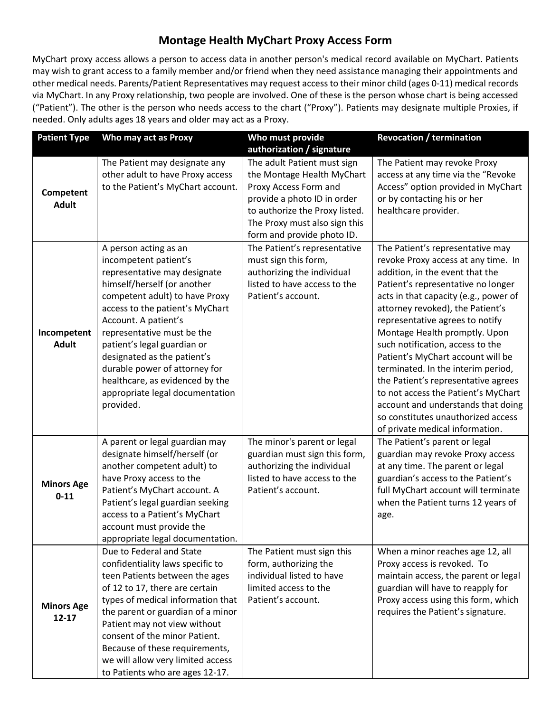## **Montage Health MyChart Proxy Access Form**

MyChart proxy access allows a person to access data in another person's medical record available on MyChart. Patients may wish to grant access to a family member and/or friend when they need assistance managing their appointments and other medical needs. Parents/Patient Representatives may request access to their minor child (ages 0-11) medical records via MyChart. In any Proxy relationship, two people are involved. One of these is the person whose chart is being accessed ("Patient"). The other is the person who needs access to the chart ("Proxy"). Patients may designate multiple Proxies, if needed. Only adults ages 18 years and older may act as a Proxy.

| <b>Patient Type</b>            | Who may act as Proxy                                                                                                                                                                                                                                                                                                                                                                                                       | Who must provide                                                                                                                                                                                                   | <b>Revocation / termination</b>                                                                                                                                                                                                                                                                                                                                                                                                                                                                                                                                                                               |
|--------------------------------|----------------------------------------------------------------------------------------------------------------------------------------------------------------------------------------------------------------------------------------------------------------------------------------------------------------------------------------------------------------------------------------------------------------------------|--------------------------------------------------------------------------------------------------------------------------------------------------------------------------------------------------------------------|---------------------------------------------------------------------------------------------------------------------------------------------------------------------------------------------------------------------------------------------------------------------------------------------------------------------------------------------------------------------------------------------------------------------------------------------------------------------------------------------------------------------------------------------------------------------------------------------------------------|
|                                |                                                                                                                                                                                                                                                                                                                                                                                                                            | authorization / signature                                                                                                                                                                                          |                                                                                                                                                                                                                                                                                                                                                                                                                                                                                                                                                                                                               |
| Competent<br><b>Adult</b>      | The Patient may designate any<br>other adult to have Proxy access<br>to the Patient's MyChart account.                                                                                                                                                                                                                                                                                                                     | The adult Patient must sign<br>the Montage Health MyChart<br>Proxy Access Form and<br>provide a photo ID in order<br>to authorize the Proxy listed.<br>The Proxy must also sign this<br>form and provide photo ID. | The Patient may revoke Proxy<br>access at any time via the "Revoke<br>Access" option provided in MyChart<br>or by contacting his or her<br>healthcare provider.                                                                                                                                                                                                                                                                                                                                                                                                                                               |
| Incompetent<br><b>Adult</b>    | A person acting as an<br>incompetent patient's<br>representative may designate<br>himself/herself (or another<br>competent adult) to have Proxy<br>access to the patient's MyChart<br>Account. A patient's<br>representative must be the<br>patient's legal guardian or<br>designated as the patient's<br>durable power of attorney for<br>healthcare, as evidenced by the<br>appropriate legal documentation<br>provided. | The Patient's representative<br>must sign this form,<br>authorizing the individual<br>listed to have access to the<br>Patient's account.                                                                           | The Patient's representative may<br>revoke Proxy access at any time. In<br>addition, in the event that the<br>Patient's representative no longer<br>acts in that capacity (e.g., power of<br>attorney revoked), the Patient's<br>representative agrees to notify<br>Montage Health promptly. Upon<br>such notification, access to the<br>Patient's MyChart account will be<br>terminated. In the interim period,<br>the Patient's representative agrees<br>to not access the Patient's MyChart<br>account and understands that doing<br>so constitutes unauthorized access<br>of private medical information. |
| <b>Minors Age</b><br>$0 - 11$  | A parent or legal guardian may<br>designate himself/herself (or<br>another competent adult) to<br>have Proxy access to the<br>Patient's MyChart account. A<br>Patient's legal guardian seeking<br>access to a Patient's MyChart<br>account must provide the<br>appropriate legal documentation.                                                                                                                            | The minor's parent or legal<br>guardian must sign this form,<br>authorizing the individual<br>listed to have access to the<br>Patient's account.                                                                   | The Patient's parent or legal<br>guardian may revoke Proxy access<br>at any time. The parent or legal<br>guardian's access to the Patient's<br>full MyChart account will terminate<br>when the Patient turns 12 years of<br>age.                                                                                                                                                                                                                                                                                                                                                                              |
| <b>Minors Age</b><br>$12 - 17$ | Due to Federal and State<br>confidentiality laws specific to<br>teen Patients between the ages<br>of 12 to 17, there are certain<br>types of medical information that<br>the parent or guardian of a minor<br>Patient may not view without<br>consent of the minor Patient.<br>Because of these requirements,<br>we will allow very limited access<br>to Patients who are ages 12-17.                                      | The Patient must sign this<br>form, authorizing the<br>individual listed to have<br>limited access to the<br>Patient's account.                                                                                    | When a minor reaches age 12, all<br>Proxy access is revoked. To<br>maintain access, the parent or legal<br>guardian will have to reapply for<br>Proxy access using this form, which<br>requires the Patient's signature.                                                                                                                                                                                                                                                                                                                                                                                      |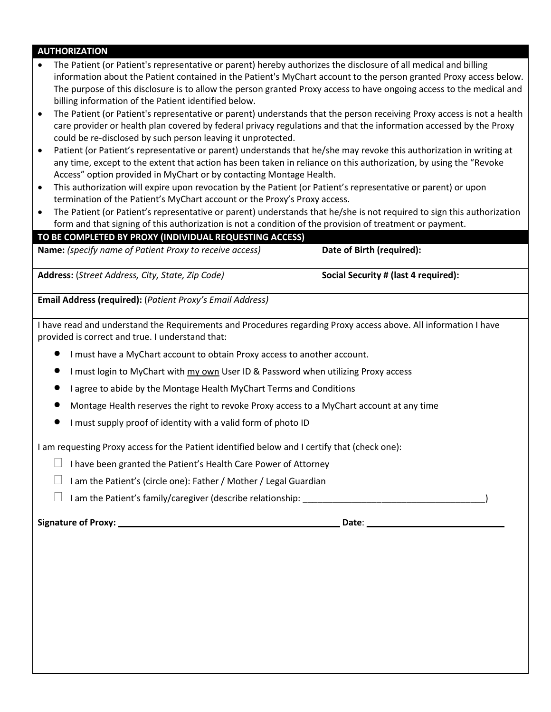## **AUTHORIZATION**

- The Patient (or Patient's representative or parent) hereby authorizes the disclosure of all medical and billing information about the Patient contained in the Patient's MyChart account to the person granted Proxy access below. The purpose of this disclosure is to allow the person granted Proxy access to have ongoing access to the medical and billing information of the Patient identified below.
- The Patient (or Patient's representative or parent) understands that the person receiving Proxy access is not a health care provider or health plan covered by federal privacy regulations and that the information accessed by the Proxy could be re-disclosed by such person leaving it unprotected.
- Patient (or Patient's representative or parent) understands that he/she may revoke this authorization in writing at any time, except to the extent that action has been taken in reliance on this authorization, by using the "Revoke Access" option provided in MyChart or by contacting Montage Health.
- This authorization will expire upon revocation by the Patient (or Patient's representative or parent) or upon termination of the Patient's MyChart account or the Proxy's Proxy access.
- The Patient (or Patient's representative or parent) understands that he/she is not required to sign this authorization form and that signing of this authorization is not a condition of the provision of treatment or payment.

## **TO BE COMPLETED BY PROXY (INDIVIDUAL REQUESTING ACCESS) Name:** *(specify name of Patient Proxy to receive access)* **Date of Birth (required):** Address: (*Street Address, City, State, Zip Code*) **Social Security # (last 4 required): Address:**  (*Steet Address, City, State, Zip Code*) **Email Address (required):** (*Patient Proxy's Email Address)* I have read and understand the Requirements and Procedures regarding Proxy access above. All information I have provided is correct and true. I understand that: I must have a MyChart account to obtain Proxy access to another account. I must login to MyChart with my own User ID & Password when utilizing Proxy access **I** agree to abide by the Montage Health MyChart Terms and Conditions Montage Health reserves the right to revoke Proxy access to a MyChart account at any time I must supply proof of identity with a valid form of photo ID I am requesting Proxy access for the Patient identified below and I certify that (check one):  $\Box$  I have been granted the Patient's Health Care Power of Attorney  $\Box$  I am the Patient's (circle one): Father / Mother / Legal Guardian

 $\Box$  I am the Patient's family/caregiver (describe relationship:  $\Box$ 

**Signature of Proxy: \_\_\_\_\_\_\_\_\_\_\_\_\_\_\_\_\_\_\_\_\_\_\_\_\_\_\_\_\_\_\_\_\_\_\_\_\_\_\_\_\_\_\_\_\_ Date**: \_\_\_\_\_\_\_\_\_\_\_\_\_\_\_\_\_\_\_\_\_\_\_\_\_\_\_\_